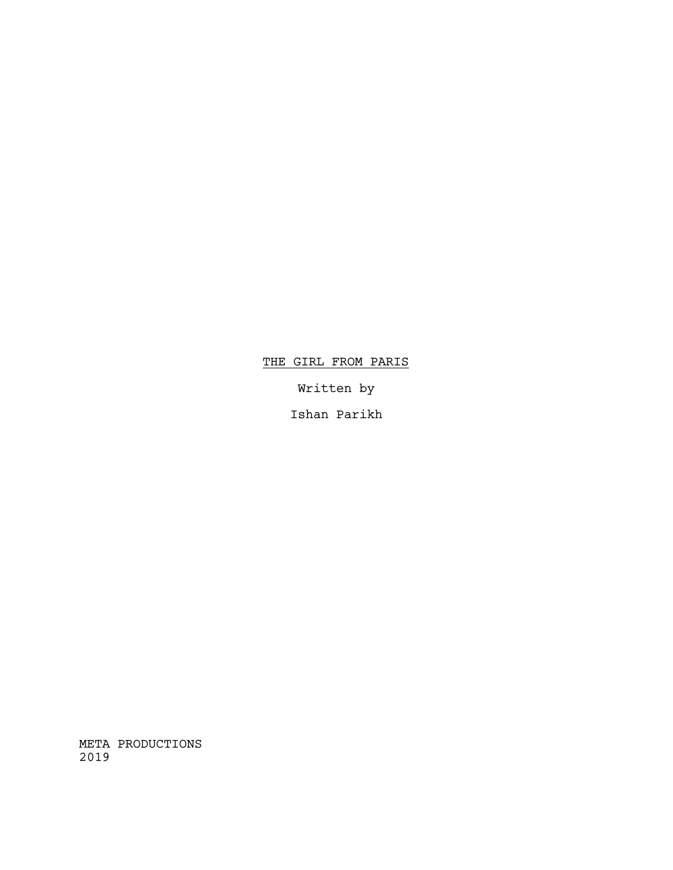# THE GIRL FROM PARIS

Written by

Ishan Parikh

META PRODUCTIONS 2019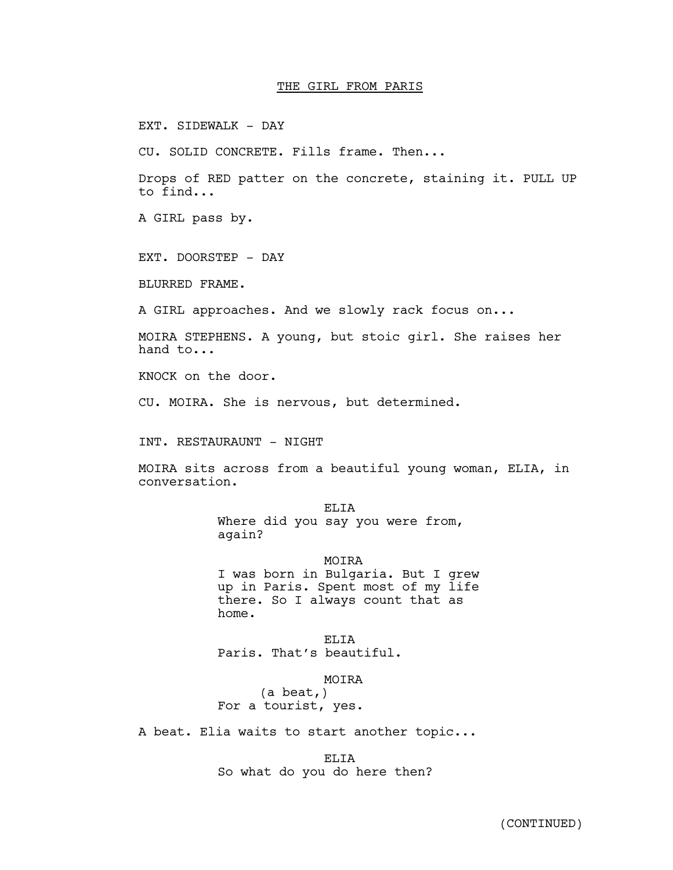#### THE GIRL FROM PARIS

EXT. SIDEWALK - DAY

CU. SOLID CONCRETE. Fills frame. Then...

Drops of RED patter on the concrete, staining it. PULL UP to find...

A GIRL pass by.

EXT. DOORSTEP - DAY

BLURRED FRAME.

A GIRL approaches. And we slowly rack focus on...

MOIRA STEPHENS. A young, but stoic girl. She raises her hand to...

KNOCK on the door.

CU. MOIRA. She is nervous, but determined.

INT. RESTAURAUNT - NIGHT

MOIRA sits across from a beautiful young woman, ELIA, in conversation.

> ELIA Where did you say you were from,<br>again?

> > MOIRA

I was born in Bulgaria. But I grew up in Paris. Spent most of my life there. So I always count that as home.

ELIA Paris. That's beautiful.

**MOTRA** 

(a beat,) For a tourist, yes.

A beat. Elia waits to start another topic...

ELIA So what do you do here then?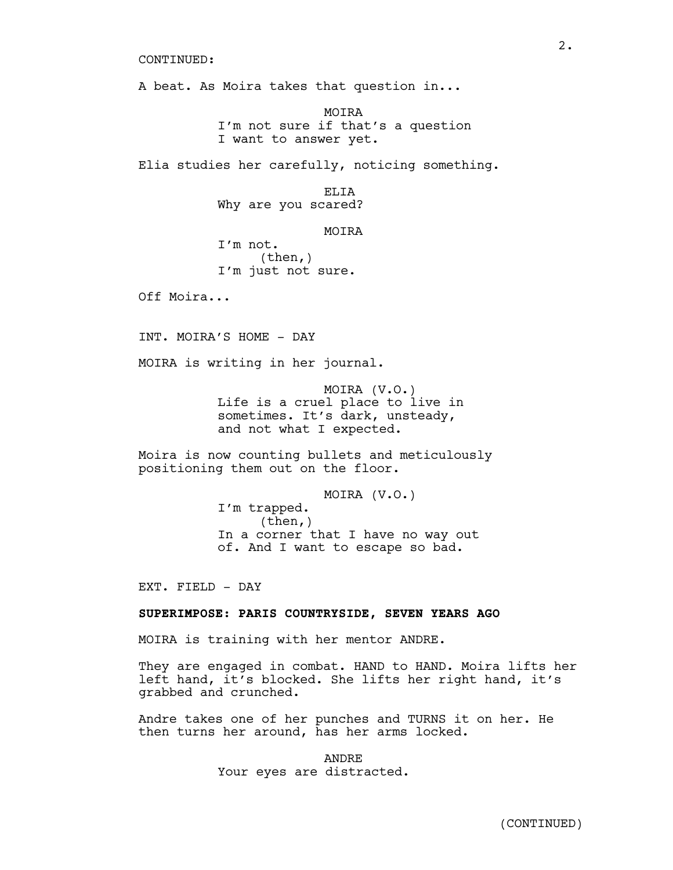A beat. As Moira takes that question in...

MOIRA I'm not sure if that's a question I want to answer yet.

Elia studies her carefully, noticing something.

ELIA Why are you scared?

MOIRA

I'm not. (then,) I'm just not sure.

Off Moira...

INT. MOIRA'S HOME - DAY

MOIRA is writing in her journal.

MOIRA (V.O.) Life is a cruel place to live in sometimes. It's dark, unsteady, and not what I expected.

Moira is now counting bullets and meticulously positioning them out on the floor.

> MOIRA (V.O.) I'm trapped.<br>(then,) In a corner that I have no way out of. And I want to escape so bad.

EXT. FIELD - DAY

## **SUPERIMPOSE: PARIS COUNTRYSIDE, SEVEN YEARS AGO**

MOIRA is training with her mentor ANDRE.

They are engaged in combat. HAND to HAND. Moira lifts her left hand, it's blocked. She lifts her right hand, it's grabbed and crunched.

Andre takes one of her punches and TURNS it on her. He then turns her around, has her arms locked.

> ANDRE Your eyes are distracted.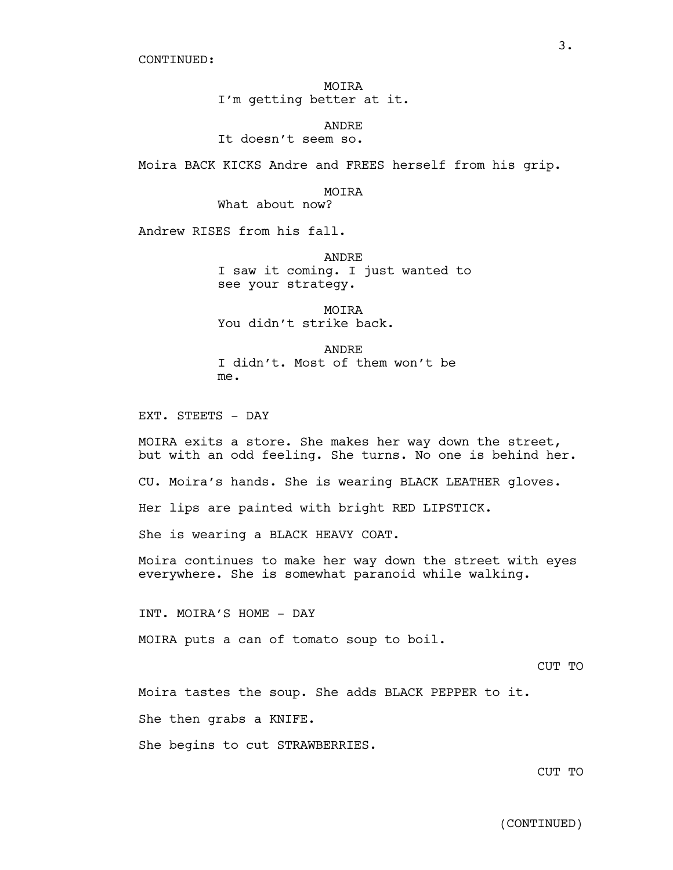MOIRA I'm getting better at it.

ANDRE It doesn't seem so.

Moira BACK KICKS Andre and FREES herself from his grip.

MOIRA

What about now?

Andrew RISES from his fall.

ANDRE I saw it coming. I just wanted to see your strategy.

MOIRA You didn't strike back.

ANDRE I didn't. Most of them won't be me.

EXT. STEETS - DAY

MOIRA exits a store. She makes her way down the street, but with an odd feeling. She turns. No one is behind her. CU. Moira's hands. She is wearing BLACK LEATHER gloves. Her lips are painted with bright RED LIPSTICK. She is wearing a BLACK HEAVY COAT. Moira continues to make her way down the street with eyes everywhere. She is somewhat paranoid while walking.

INT. MOIRA'S HOME - DAY

MOIRA puts a can of tomato soup to boil.

CUT TO

Moira tastes the soup. She adds BLACK PEPPER to it.

She then grabs a KNIFE.

She begins to cut STRAWBERRIES.

CUT TO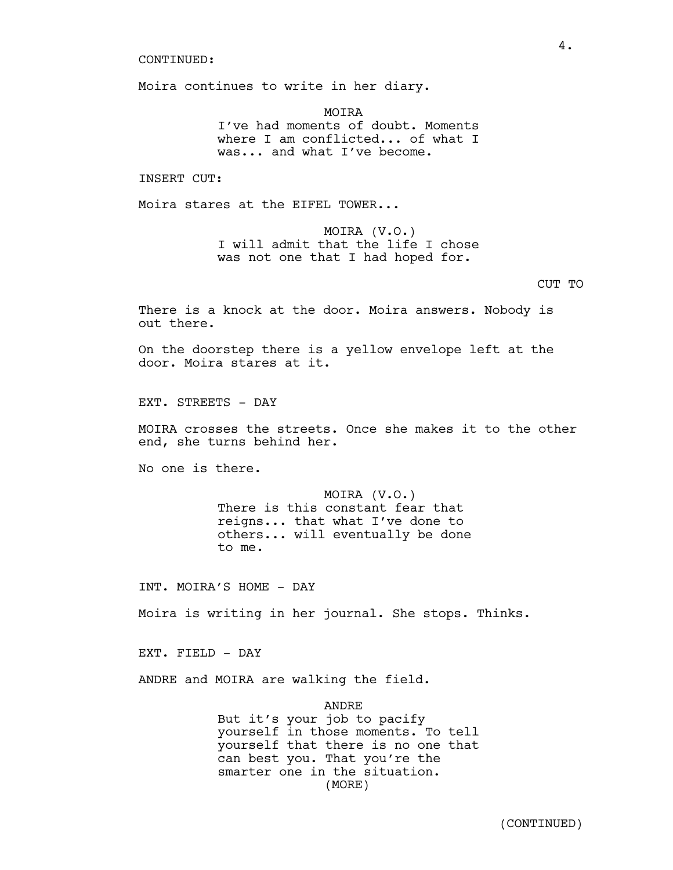Moira continues to write in her diary.

MOIRA I've had moments of doubt. Moments where I am conflicted... of what I was... and what I've become.

INSERT CUT:

Moira stares at the EIFEL TOWER...

MOIRA (V.O.) I will admit that the life I chose was not one that I had hoped for.

## CUT TO

There is a knock at the door. Moira answers. Nobody is out there.

On the doorstep there is a yellow envelope left at the door. Moira stares at it.

EXT. STREETS - DAY

MOIRA crosses the streets. Once she makes it to the other end, she turns behind her.

No one is there.

MOIRA (V.O.) There is this constant fear that reigns... that what I've done to others... will eventually be done to me.

INT. MOIRA'S HOME - DAY

Moira is writing in her journal. She stops. Thinks.

EXT. FIELD - DAY

ANDRE and MOIRA are walking the field.

ANDRE

But it's your job to pacify yourself in those moments. To tell yourself that there is no one that can best you. That you're the smarter one in the situation. (MORE)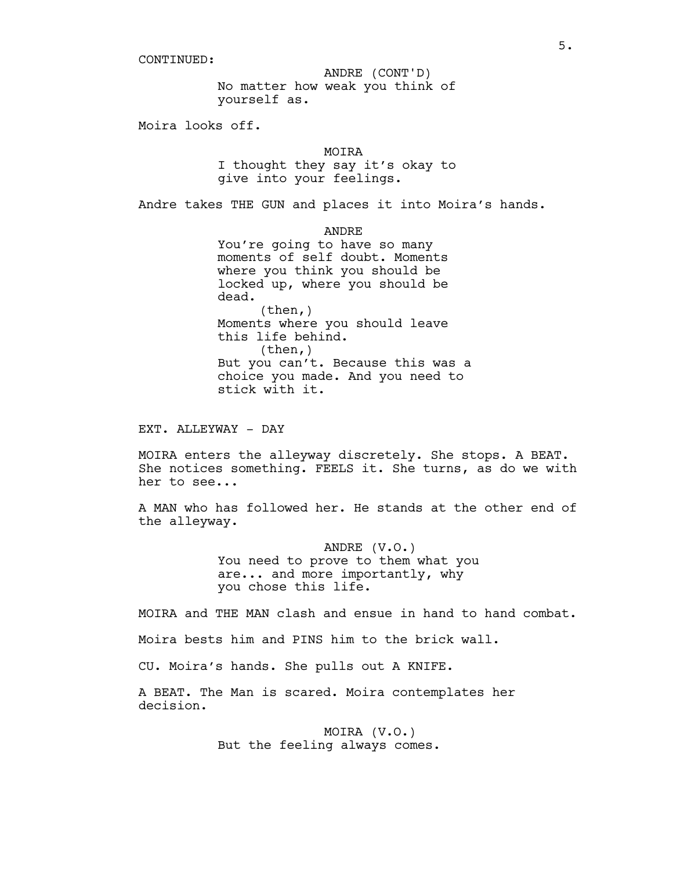No matter how weak you think of yourself as. ANDRE (CONT'D)

Moira looks off.

MOTRA

I thought they say it's okay to give into your feelings.

Andre takes THE GUN and places it into Moira's hands.

ANDRE You're going to have so many moments of self doubt. Moments where you think you should be locked up, where you should be dead. (then,) Moments where you should leave this life behind. (then,) But you can't. Because this was a choice you made. And you need to stick with it.

EXT. ALLEYWAY - DAY

MOIRA enters the alleyway discretely. She stops. A BEAT.<br>She notices something. FEELS it. She turns, as do we with her to see...

A MAN who has followed her. He stands at the other end of the alleyway.

> ANDRE (V.O.) You need to prove to them what you are... and more importantly, why you chose this life.

MOIRA and THE MAN clash and ensue in hand to hand combat.

Moira bests him and PINS him to the brick wall.

CU. Moira's hands. She pulls out A KNIFE.

A BEAT. The Man is scared. Moira contemplates her decision.

> MOIRA (V.O.) But the feeling always comes.

5.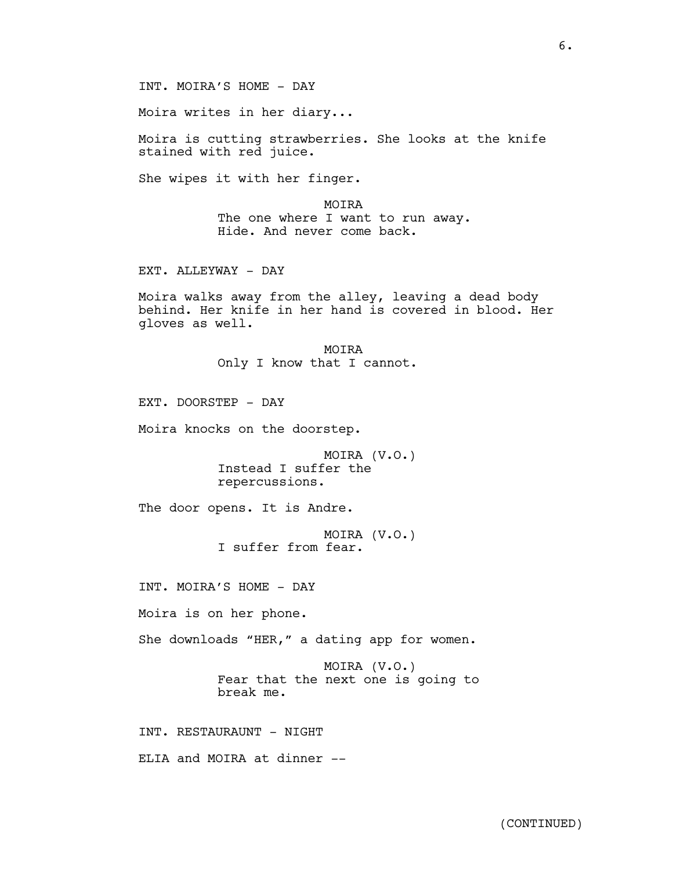Moira writes in her diary...

Moira is cutting strawberries. She looks at the knife stained with red juice.

She wipes it with her finger.

MOIRA The one where I want to run away. Hide. And never come back.

EXT. ALLEYWAY - DAY

Moira walks away from the alley, leaving a dead body behind. Her knife in her hand is covered in blood. Her gloves as well.

> MOIRA Only I know that I cannot.

EXT. DOORSTEP - DAY

Moira knocks on the doorstep.

MOIRA (V.O.) Instead I suffer the repercussions.

The door opens. It is Andre.

MOIRA (V.O.) I suffer from fear.

INT. MOIRA'S HOME - DAY

Moira is on her phone.

She downloads "HER," a dating app for women.

MOIRA (V.O.) Fear that the next one is going to break me.

INT. RESTAURAUNT - NIGHT

ELIA and MOIRA at dinner --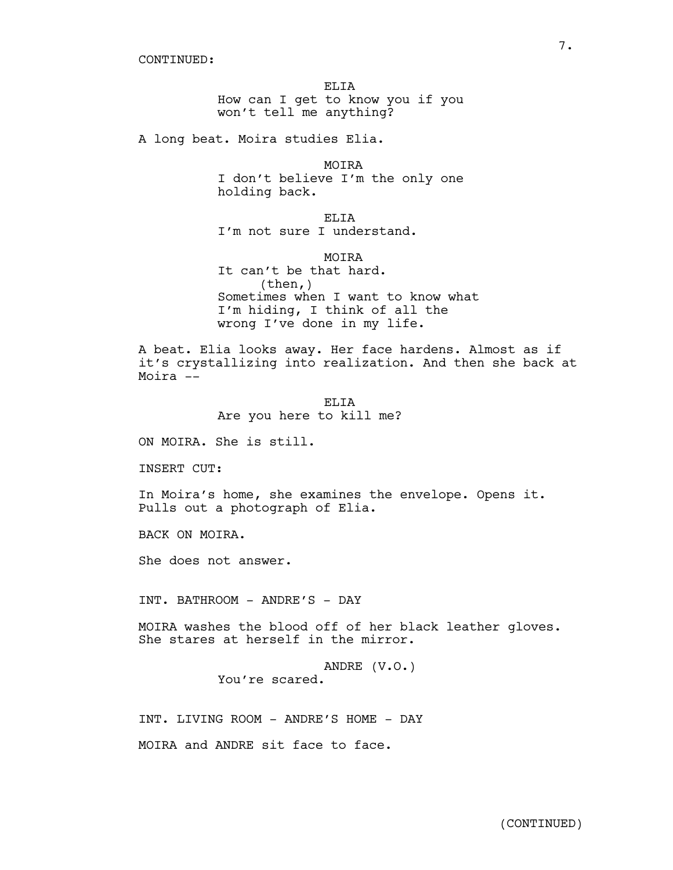ELIA How can I get to know you if you won't tell me anything?

A long beat. Moira studies Elia.

MOIRA I don't believe I'm the only one holding back.

ELIA I'm not sure I understand.

MOIRA

It can't be that hard. (then,) Sometimes when I want to know what I'm hiding, I think of all the wrong I've done in my life.

A beat. Elia looks away. Her face hardens. Almost as if it's crystallizing into realization. And then she back at Moira --

> ELIA Are you here to kill me?

ON MOIRA. She is still.

INSERT CUT:

In Moira's home, she examines the envelope. Opens it. Pulls out <sup>a</sup> photograph of Elia.

BACK ON MOIRA.

She does not answer.

INT. BATHROOM - ANDRE'S - DAY

MOIRA washes the blood off of her black leather gloves. She stares at herself in the mirror.

ANDRE (V.O.) You're scared.

INT. LIVING ROOM - ANDRE'S HOME - DAY

MOIRA and ANDRE sit face to face.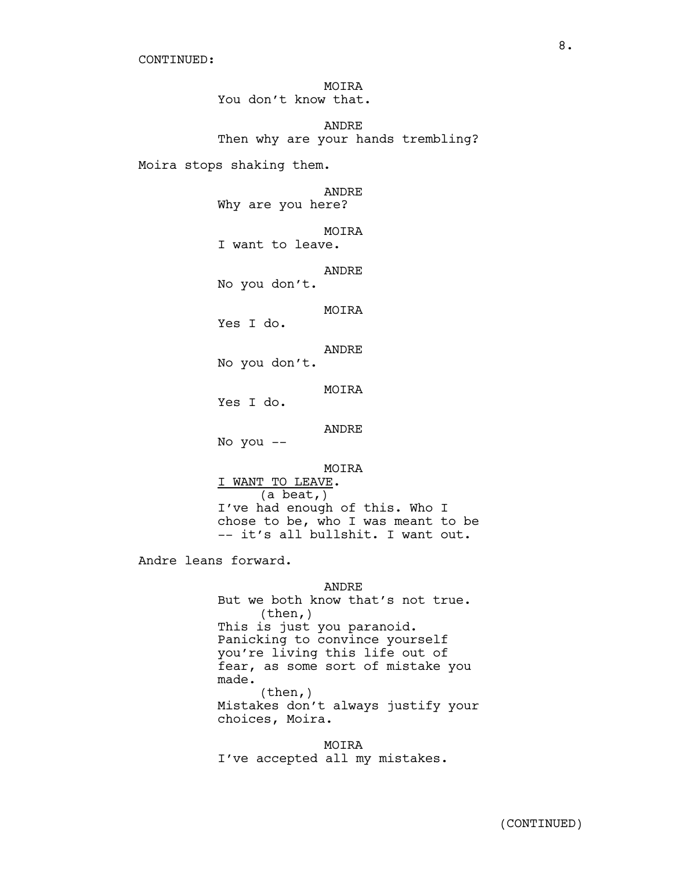MOIRA You don't know that.

ANDRE Then why are your hands trembling?

Moira stops shaking them.

ANDRE

Why are you here?

MOIRA

I want to leave.

ANDRE No you don't.

MOIRA

Yes I do.

ANDRE

No you don't.

MOIRA

Yes I do.

### ANDRE

No you --

MOIRA

I WANT TO LEAVE.<br>(a beat,) I've had enough of this. Who I<br>chose to be, who I was meant to be -- it's all bullshit. I want out.

Andre leans forward.

ANDRE But we both know that's not true.<br>(then,) This is just you paranoid. Panicking to convince yourself you're living this life out of fear, as some sort of mistake you made. (then,) Mistakes don't always justify your choices, Moira.

MOIRA I've accepted all my mistakes.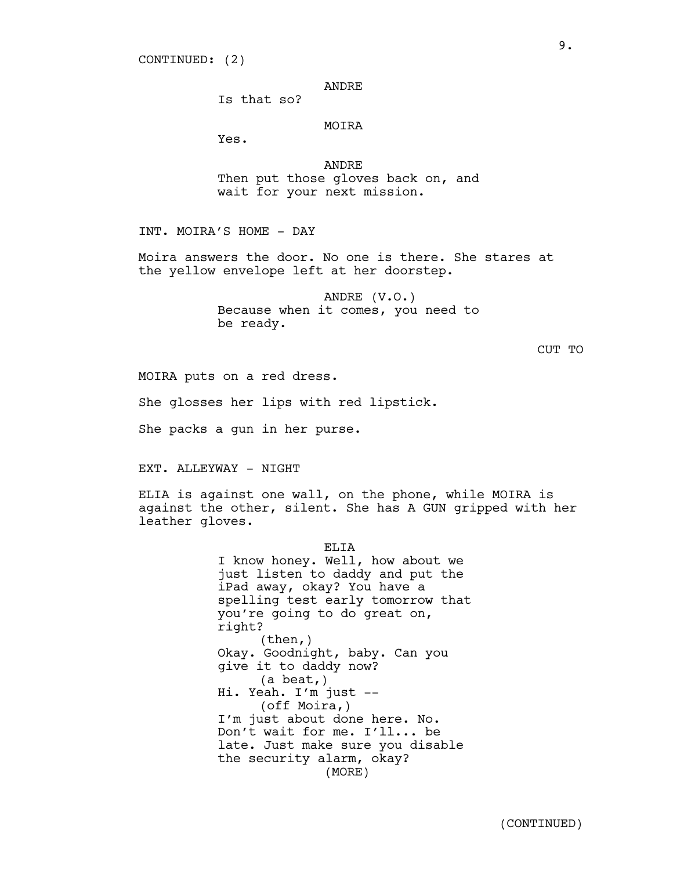#### ANDRE

Is that so?

### MOIRA

Yes.

ANDRE Then put those gloves back on, and wait for your next mission.

INT. MOIRA'S HOME - DAY

Moira answers the door. No one is there. She stares at the yellow envelope left at her doorstep.

> ANDRE (V.O.) Because when it comes, you need to be ready.

> > CUT TO

MOIRA puts on a red dress.

She glosses her lips with red lipstick.

She packs a gun in her purse.

EXT. ALLEYWAY - NIGHT

ELIA is against one wall, on the phone, while MOIRA is against the other, silent. She has A GUN gripped with her leather gloves.

> ELIA I know honey. Well, how about we just listen to daddy and put the iPad away, okay? You have a spelling test early tomorrow that you're going to do great on, right?  $(then, )$ Okay. Goodnight, baby. Can you give it to daddy now? (a beat,) Hi. Yeah. I'm just -- (off Moira,) I'm just about done here. No. Don't wait for me. I'll... be late. Just make sure you disable the security alarm, okay? (MORE)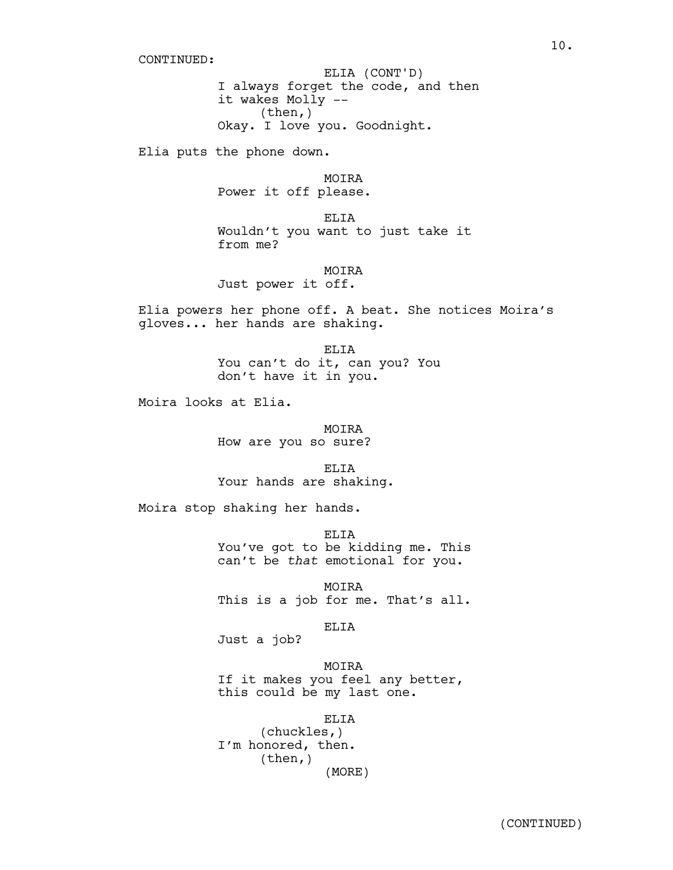I always forget the code, and then it wakes Molly -- (then,) Okay. I love you. Goodnight. ELIA (CONT'D)

Elia puts the phone down.

MOIRA Power it off please.

ELIA Wouldn't you want to just take it from me?

**MOTRA** 

Just power it off.

Elia powers her phone off. A beat. She notices Moira's gloves... her hands are shaking.

> ELIA You can't do it, can you? You don't have it in you.

Moira looks at Elia.

MOIRA How are you so sure?

ELTA Your hands are shaking.

Moira stop shaking her hands.

ELTA You've got to be kidding me. This can't be *that* emotional for you.

MOIRA This is a job for me. That's all.

ELIA

Just a job?

MOIRA If it makes you feel any better, this could be my last one.

ELIA (chuckles,) I'm honored, then. (then,) (MORE)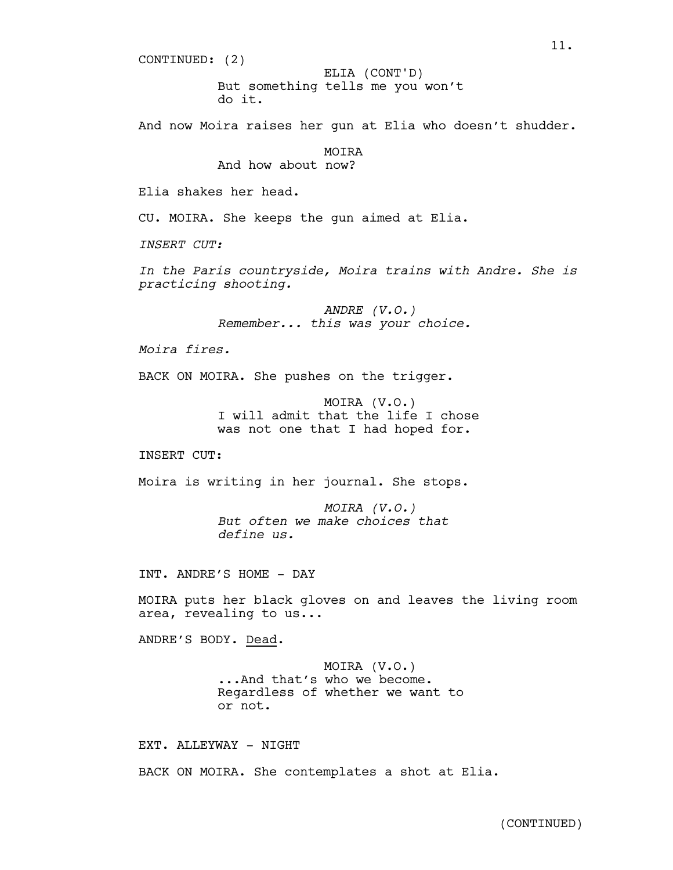CONTINUED: (2)

But something tells me you won't do it. ELIA (CONT'D)

And now Moira raises her gun at Elia who doesn't shudder.

MOIRA

And how about now?

Elia shakes her head.

CU. MOIRA. She keeps the gun aimed at Elia.

*INSERT CUT:*

*In the Paris countryside, Moira trains with Andre. She is practicing shooting.*

> *ANDRE (V.O.) Remember... this was your choice.*

*Moira fires.*

BACK ON MOIRA. She pushes on the trigger.

MOIRA (V.O.) I will admit that the life I chose was not one that I had hoped for.

INSERT CUT:

Moira is writing in her journal. She stops.

*MOIRA (V.O.) But often we make choices that define us.*

INT. ANDRE'S HOME - DAY

MOIRA puts her black gloves on and leaves the living room area, revealing to us...

ANDRE'S BODY. Dead.

MOIRA (V.O.) ...And that's who we become. Regardless of whether we want to or not.

EXT. ALLEYWAY - NIGHT

BACK ON MOIRA. She contemplates a shot at Elia.